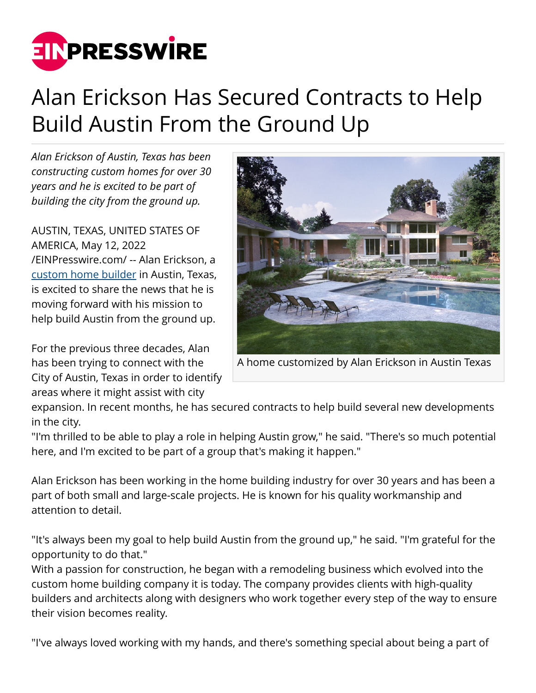

## Alan Erickson Has Secured Contracts to Help Build Austin From the Ground Up

*Alan Erickson of Austin, Texas has been constructing custom homes for over 30 years and he is excited to be part of building the city from the ground up.*

AUSTIN, TEXAS, UNITED STATES OF AMERICA, May 12, 2022 [/EINPresswire.com/](http://www.einpresswire.com) -- Alan Erickson, a [custom home builder](http://www.alanericksontx.com/) in Austin, Texas, is excited to share the news that he is moving forward with his mission to help build Austin from the ground up.

For the previous three decades, Alan has been trying to connect with the City of Austin, Texas in order to identify areas where it might assist with city



A home customized by Alan Erickson in Austin Texas

expansion. In recent months, he has secured contracts to help build several new developments in the city.

"I'm thrilled to be able to play a role in helping Austin grow," he said. "There's so much potential here, and I'm excited to be part of a group that's making it happen."

Alan Erickson has been working in the home building industry for over 30 years and has been a part of both small and large-scale projects. He is known for his quality workmanship and attention to detail.

"It's always been my goal to help build Austin from the ground up," he said. "I'm grateful for the opportunity to do that."

With a passion for construction, he began with a remodeling business which evolved into the custom home building company it is today. The company provides clients with high-quality builders and architects along with designers who work together every step of the way to ensure their vision becomes reality.

"I've always loved working with my hands, and there's something special about being a part of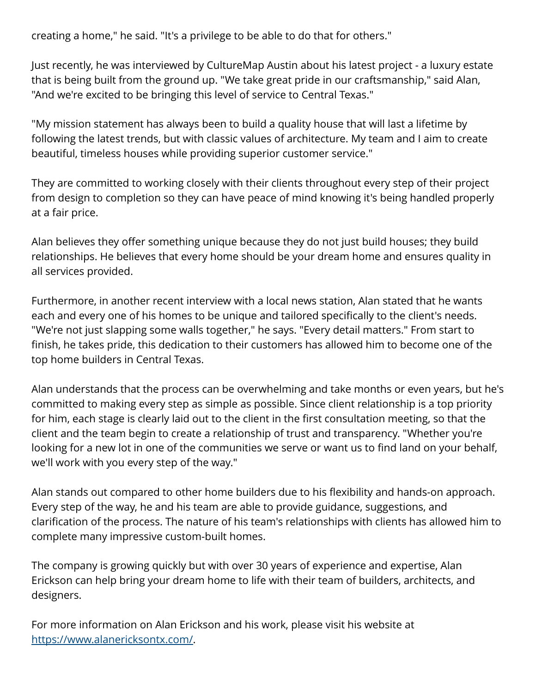creating a home," he said. "It's a privilege to be able to do that for others."

Just recently, he was interviewed by CultureMap Austin about his latest project - a luxury estate that is being built from the ground up. "We take great pride in our craftsmanship," said Alan, "And we're excited to be bringing this level of service to Central Texas."

"My mission statement has always been to build a quality house that will last a lifetime by following the latest trends, but with classic values of architecture. My team and I aim to create beautiful, timeless houses while providing superior customer service."

They are committed to working closely with their clients throughout every step of their project from design to completion so they can have peace of mind knowing it's being handled properly at a fair price.

Alan believes they offer something unique because they do not just build houses; they build relationships. He believes that every home should be your dream home and ensures quality in all services provided.

Furthermore, in another recent interview with a local news station, Alan stated that he wants each and every one of his homes to be unique and tailored specifically to the client's needs. "We're not just slapping some walls together," he says. "Every detail matters." From start to finish, he takes pride, this dedication to their customers has allowed him to become one of the top home builders in Central Texas.

Alan understands that the process can be overwhelming and take months or even years, but he's committed to making every step as simple as possible. Since client relationship is a top priority for him, each stage is clearly laid out to the client in the first consultation meeting, so that the client and the team begin to create a relationship of trust and transparency. "Whether you're looking for a new lot in one of the communities we serve or want us to find land on your behalf, we'll work with you every step of the way."

Alan stands out compared to other home builders due to his flexibility and hands-on approach. Every step of the way, he and his team are able to provide guidance, suggestions, and clarification of the process. The nature of his team's relationships with clients has allowed him to complete many impressive custom-built homes.

The company is growing quickly but with over 30 years of experience and expertise, Alan Erickson can help bring your dream home to life with their team of builders, architects, and designers.

For more information on Alan Erickson and his work, please visit his website at [https://www.alanericksontx.com/.](https://www.alanericksontx.com/)